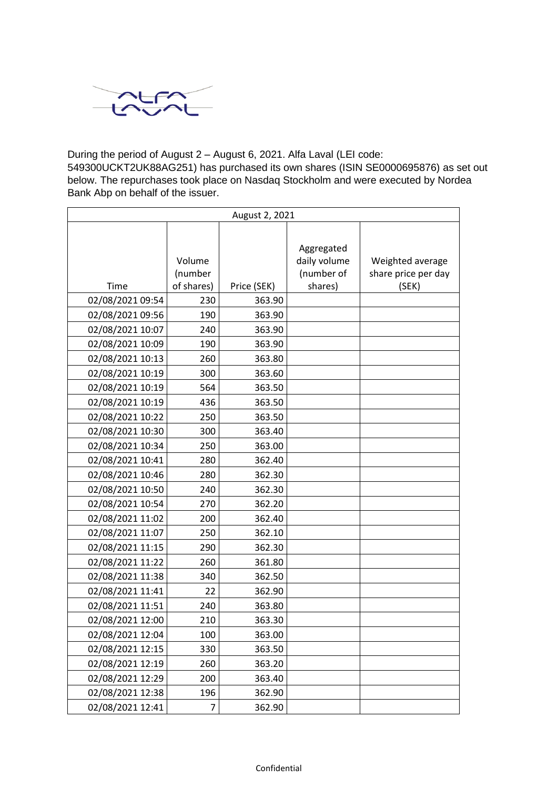

During the period of August 2 – August 6, 2021. Alfa Laval (LEI code:

549300UCKT2UK88AG251) has purchased its own shares (ISIN SE0000695876) as set out below. The repurchases took place on Nasdaq Stockholm and were executed by Nordea Bank Abp on behalf of the issuer.

| August 2, 2021   |                   |             |                                          |                                         |
|------------------|-------------------|-------------|------------------------------------------|-----------------------------------------|
|                  | Volume<br>(number |             | Aggregated<br>daily volume<br>(number of | Weighted average<br>share price per day |
| Time             | of shares)        | Price (SEK) | shares)                                  | (SEK)                                   |
| 02/08/2021 09:54 | 230               | 363.90      |                                          |                                         |
| 02/08/2021 09:56 | 190               | 363.90      |                                          |                                         |
| 02/08/2021 10:07 | 240               | 363.90      |                                          |                                         |
| 02/08/2021 10:09 | 190               | 363.90      |                                          |                                         |
| 02/08/2021 10:13 | 260               | 363.80      |                                          |                                         |
| 02/08/2021 10:19 | 300               | 363.60      |                                          |                                         |
| 02/08/2021 10:19 | 564               | 363.50      |                                          |                                         |
| 02/08/2021 10:19 | 436               | 363.50      |                                          |                                         |
| 02/08/2021 10:22 | 250               | 363.50      |                                          |                                         |
| 02/08/2021 10:30 | 300               | 363.40      |                                          |                                         |
| 02/08/2021 10:34 | 250               | 363.00      |                                          |                                         |
| 02/08/2021 10:41 | 280               | 362.40      |                                          |                                         |
| 02/08/2021 10:46 | 280               | 362.30      |                                          |                                         |
| 02/08/2021 10:50 | 240               | 362.30      |                                          |                                         |
| 02/08/2021 10:54 | 270               | 362.20      |                                          |                                         |
| 02/08/2021 11:02 | 200               | 362.40      |                                          |                                         |
| 02/08/2021 11:07 | 250               | 362.10      |                                          |                                         |
| 02/08/2021 11:15 | 290               | 362.30      |                                          |                                         |
| 02/08/2021 11:22 | 260               | 361.80      |                                          |                                         |
| 02/08/2021 11:38 | 340               | 362.50      |                                          |                                         |
| 02/08/2021 11:41 | 22                | 362.90      |                                          |                                         |
| 02/08/2021 11:51 | 240               | 363.80      |                                          |                                         |
| 02/08/2021 12:00 | 210               | 363.30      |                                          |                                         |
| 02/08/2021 12:04 | 100               | 363.00      |                                          |                                         |
| 02/08/2021 12:15 | 330               | 363.50      |                                          |                                         |
| 02/08/2021 12:19 | 260               | 363.20      |                                          |                                         |
| 02/08/2021 12:29 | 200               | 363.40      |                                          |                                         |
| 02/08/2021 12:38 | 196               | 362.90      |                                          |                                         |
| 02/08/2021 12:41 | 7                 | 362.90      |                                          |                                         |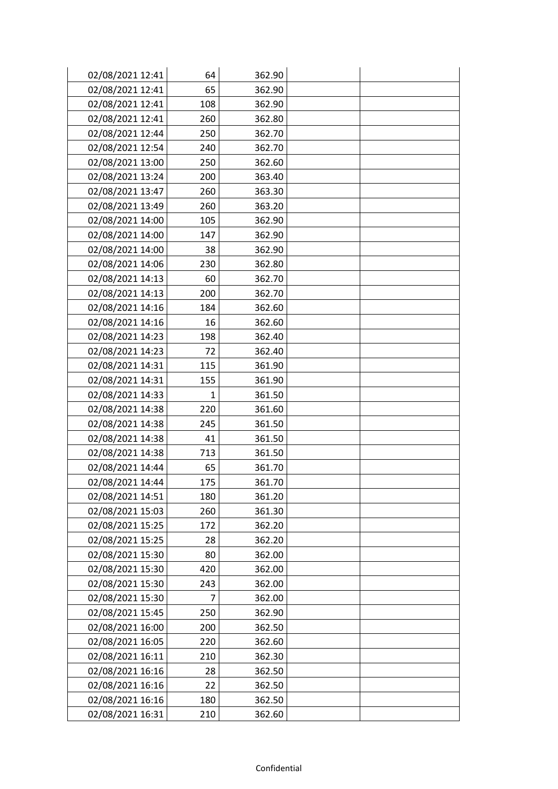| 02/08/2021 12:41 | 64           | 362.90 |  |
|------------------|--------------|--------|--|
| 02/08/2021 12:41 | 65           | 362.90 |  |
| 02/08/2021 12:41 | 108          | 362.90 |  |
| 02/08/2021 12:41 | 260          | 362.80 |  |
| 02/08/2021 12:44 | 250          | 362.70 |  |
| 02/08/2021 12:54 | 240          | 362.70 |  |
| 02/08/2021 13:00 | 250          | 362.60 |  |
| 02/08/2021 13:24 | 200          | 363.40 |  |
| 02/08/2021 13:47 | 260          | 363.30 |  |
| 02/08/2021 13:49 | 260          | 363.20 |  |
| 02/08/2021 14:00 | 105          | 362.90 |  |
| 02/08/2021 14:00 | 147          | 362.90 |  |
| 02/08/2021 14:00 | 38           | 362.90 |  |
| 02/08/2021 14:06 | 230          | 362.80 |  |
| 02/08/2021 14:13 | 60           | 362.70 |  |
| 02/08/2021 14:13 | 200          | 362.70 |  |
| 02/08/2021 14:16 | 184          | 362.60 |  |
| 02/08/2021 14:16 | 16           | 362.60 |  |
| 02/08/2021 14:23 | 198          | 362.40 |  |
| 02/08/2021 14:23 | 72           | 362.40 |  |
| 02/08/2021 14:31 | 115          | 361.90 |  |
| 02/08/2021 14:31 | 155          | 361.90 |  |
| 02/08/2021 14:33 | $\mathbf{1}$ | 361.50 |  |
| 02/08/2021 14:38 | 220          | 361.60 |  |
| 02/08/2021 14:38 | 245          | 361.50 |  |
| 02/08/2021 14:38 | 41           | 361.50 |  |
| 02/08/2021 14:38 | 713          | 361.50 |  |
| 02/08/2021 14:44 | 65           | 361.70 |  |
| 02/08/2021 14:44 | 175          | 361.70 |  |
| 02/08/2021 14:51 | 180          | 361.20 |  |
| 02/08/2021 15:03 | 260          | 361.30 |  |
| 02/08/2021 15:25 | 172          | 362.20 |  |
| 02/08/2021 15:25 | 28           | 362.20 |  |
| 02/08/2021 15:30 | 80           | 362.00 |  |
| 02/08/2021 15:30 | 420          | 362.00 |  |
| 02/08/2021 15:30 | 243          | 362.00 |  |
| 02/08/2021 15:30 | 7            | 362.00 |  |
| 02/08/2021 15:45 | 250          | 362.90 |  |
| 02/08/2021 16:00 | 200          | 362.50 |  |
| 02/08/2021 16:05 | 220          | 362.60 |  |
| 02/08/2021 16:11 | 210          | 362.30 |  |
| 02/08/2021 16:16 | 28           | 362.50 |  |
| 02/08/2021 16:16 | 22           | 362.50 |  |
| 02/08/2021 16:16 | 180          | 362.50 |  |
| 02/08/2021 16:31 | 210          | 362.60 |  |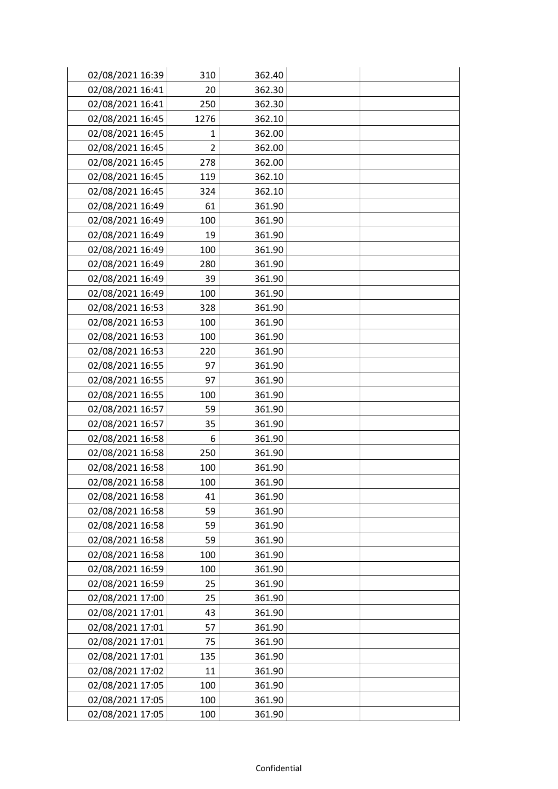| 02/08/2021 16:39 | 310            | 362.40 |  |
|------------------|----------------|--------|--|
| 02/08/2021 16:41 | 20             | 362.30 |  |
| 02/08/2021 16:41 | 250            | 362.30 |  |
| 02/08/2021 16:45 | 1276           | 362.10 |  |
| 02/08/2021 16:45 | $\mathbf{1}$   | 362.00 |  |
| 02/08/2021 16:45 | $\overline{2}$ | 362.00 |  |
| 02/08/2021 16:45 | 278            | 362.00 |  |
| 02/08/2021 16:45 | 119            | 362.10 |  |
| 02/08/2021 16:45 | 324            | 362.10 |  |
| 02/08/2021 16:49 | 61             | 361.90 |  |
| 02/08/2021 16:49 | 100            | 361.90 |  |
| 02/08/2021 16:49 | 19             | 361.90 |  |
| 02/08/2021 16:49 | 100            | 361.90 |  |
| 02/08/2021 16:49 | 280            | 361.90 |  |
| 02/08/2021 16:49 | 39             | 361.90 |  |
| 02/08/2021 16:49 | 100            | 361.90 |  |
| 02/08/2021 16:53 | 328            | 361.90 |  |
| 02/08/2021 16:53 | 100            | 361.90 |  |
| 02/08/2021 16:53 | 100            | 361.90 |  |
| 02/08/2021 16:53 | 220            | 361.90 |  |
| 02/08/2021 16:55 | 97             | 361.90 |  |
| 02/08/2021 16:55 | 97             | 361.90 |  |
| 02/08/2021 16:55 | 100            | 361.90 |  |
| 02/08/2021 16:57 | 59             | 361.90 |  |
| 02/08/2021 16:57 | 35             | 361.90 |  |
| 02/08/2021 16:58 | 6              | 361.90 |  |
| 02/08/2021 16:58 | 250            | 361.90 |  |
| 02/08/2021 16:58 | 100            | 361.90 |  |
| 02/08/2021 16:58 | 100            | 361.90 |  |
| 02/08/2021 16:58 | 41             | 361.90 |  |
| 02/08/2021 16:58 | 59             | 361.90 |  |
| 02/08/2021 16:58 | 59             | 361.90 |  |
| 02/08/2021 16:58 | 59             | 361.90 |  |
| 02/08/2021 16:58 | 100            | 361.90 |  |
| 02/08/2021 16:59 | 100            | 361.90 |  |
| 02/08/2021 16:59 | 25             | 361.90 |  |
| 02/08/2021 17:00 | 25             | 361.90 |  |
| 02/08/2021 17:01 | 43             | 361.90 |  |
| 02/08/2021 17:01 | 57             | 361.90 |  |
| 02/08/2021 17:01 | 75             | 361.90 |  |
| 02/08/2021 17:01 | 135            | 361.90 |  |
| 02/08/2021 17:02 | 11             | 361.90 |  |
| 02/08/2021 17:05 | 100            | 361.90 |  |
| 02/08/2021 17:05 | 100            | 361.90 |  |
| 02/08/2021 17:05 | 100            | 361.90 |  |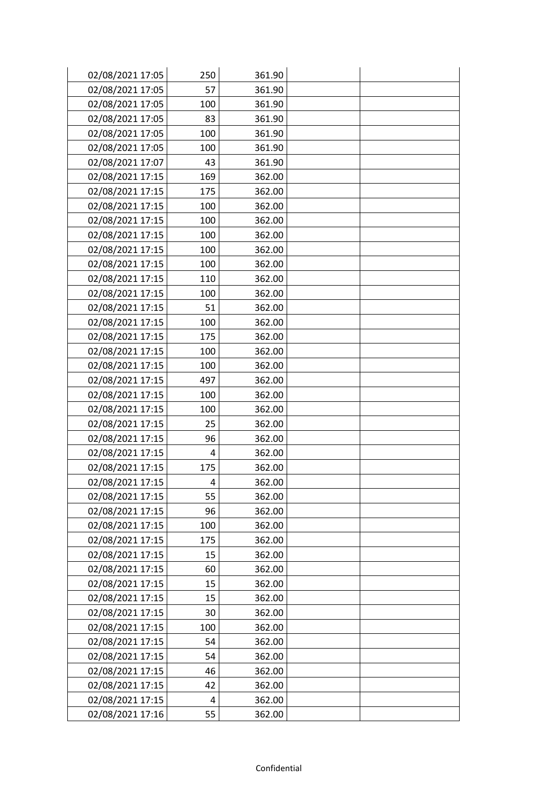| 02/08/2021 17:05 | 250 | 361.90 |  |
|------------------|-----|--------|--|
| 02/08/2021 17:05 | 57  | 361.90 |  |
| 02/08/2021 17:05 | 100 | 361.90 |  |
| 02/08/2021 17:05 | 83  | 361.90 |  |
| 02/08/2021 17:05 | 100 | 361.90 |  |
| 02/08/2021 17:05 | 100 | 361.90 |  |
| 02/08/2021 17:07 | 43  | 361.90 |  |
| 02/08/2021 17:15 | 169 | 362.00 |  |
| 02/08/2021 17:15 | 175 | 362.00 |  |
| 02/08/2021 17:15 | 100 | 362.00 |  |
| 02/08/2021 17:15 | 100 | 362.00 |  |
| 02/08/2021 17:15 | 100 | 362.00 |  |
| 02/08/2021 17:15 | 100 | 362.00 |  |
| 02/08/2021 17:15 | 100 | 362.00 |  |
| 02/08/2021 17:15 | 110 | 362.00 |  |
| 02/08/2021 17:15 | 100 | 362.00 |  |
| 02/08/2021 17:15 | 51  | 362.00 |  |
| 02/08/2021 17:15 | 100 | 362.00 |  |
| 02/08/2021 17:15 | 175 | 362.00 |  |
| 02/08/2021 17:15 | 100 | 362.00 |  |
| 02/08/2021 17:15 | 100 | 362.00 |  |
| 02/08/2021 17:15 | 497 | 362.00 |  |
| 02/08/2021 17:15 | 100 | 362.00 |  |
| 02/08/2021 17:15 | 100 | 362.00 |  |
| 02/08/2021 17:15 | 25  | 362.00 |  |
| 02/08/2021 17:15 | 96  | 362.00 |  |
| 02/08/2021 17:15 | 4   | 362.00 |  |
| 02/08/2021 17:15 | 175 | 362.00 |  |
| 02/08/2021 17:15 | 4   | 362.00 |  |
| 02/08/2021 17:15 | 55  | 362.00 |  |
| 02/08/2021 17:15 | 96  | 362.00 |  |
| 02/08/2021 17:15 | 100 | 362.00 |  |
| 02/08/2021 17:15 | 175 | 362.00 |  |
| 02/08/2021 17:15 | 15  | 362.00 |  |
| 02/08/2021 17:15 | 60  | 362.00 |  |
| 02/08/2021 17:15 | 15  | 362.00 |  |
| 02/08/2021 17:15 | 15  | 362.00 |  |
| 02/08/2021 17:15 | 30  | 362.00 |  |
| 02/08/2021 17:15 | 100 | 362.00 |  |
| 02/08/2021 17:15 | 54  | 362.00 |  |
| 02/08/2021 17:15 | 54  | 362.00 |  |
| 02/08/2021 17:15 | 46  | 362.00 |  |
| 02/08/2021 17:15 | 42  | 362.00 |  |
| 02/08/2021 17:15 | 4   | 362.00 |  |
| 02/08/2021 17:16 | 55  | 362.00 |  |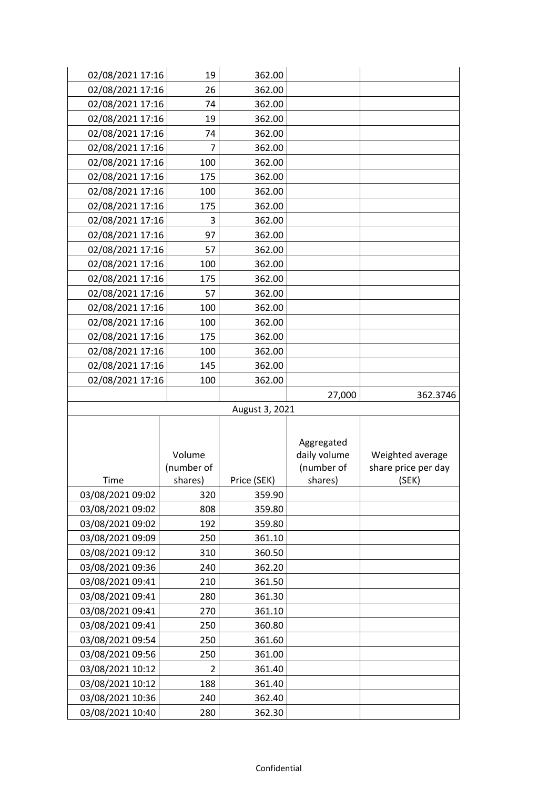| 02/08/2021 17:16 | 19         | 362.00         |              |                     |
|------------------|------------|----------------|--------------|---------------------|
| 02/08/2021 17:16 | 26         | 362.00         |              |                     |
| 02/08/2021 17:16 | 74         | 362.00         |              |                     |
| 02/08/2021 17:16 | 19         | 362.00         |              |                     |
| 02/08/2021 17:16 | 74         | 362.00         |              |                     |
| 02/08/2021 17:16 | 7          | 362.00         |              |                     |
| 02/08/2021 17:16 | 100        | 362.00         |              |                     |
| 02/08/2021 17:16 | 175        | 362.00         |              |                     |
| 02/08/2021 17:16 | 100        | 362.00         |              |                     |
| 02/08/2021 17:16 | 175        | 362.00         |              |                     |
| 02/08/2021 17:16 | 3          | 362.00         |              |                     |
| 02/08/2021 17:16 | 97         | 362.00         |              |                     |
| 02/08/2021 17:16 | 57         | 362.00         |              |                     |
| 02/08/2021 17:16 | 100        | 362.00         |              |                     |
| 02/08/2021 17:16 | 175        | 362.00         |              |                     |
| 02/08/2021 17:16 | 57         | 362.00         |              |                     |
| 02/08/2021 17:16 | 100        | 362.00         |              |                     |
| 02/08/2021 17:16 | 100        | 362.00         |              |                     |
| 02/08/2021 17:16 | 175        | 362.00         |              |                     |
| 02/08/2021 17:16 | 100        | 362.00         |              |                     |
| 02/08/2021 17:16 | 145        | 362.00         |              |                     |
| 02/08/2021 17:16 | 100        | 362.00         |              |                     |
|                  |            |                | 27,000       | 362.3746            |
|                  |            | August 3, 2021 |              |                     |
|                  |            |                |              |                     |
|                  |            |                | Aggregated   |                     |
|                  | Volume     |                | daily volume | Weighted average    |
|                  | (number of |                | (number of   | share price per day |
| Time             | shares)    | Price (SEK)    | shares)      | (SEK)               |
| 03/08/2021 09:02 | 320        | 359.90         |              |                     |
| 03/08/2021 09:02 | 808        | 359.80         |              |                     |
| 03/08/2021 09:02 | 192        | 359.80         |              |                     |
| 03/08/2021 09:09 | 250        | 361.10         |              |                     |
| 03/08/2021 09:12 | 310        | 360.50         |              |                     |
| 03/08/2021 09:36 | 240        | 362.20         |              |                     |
| 03/08/2021 09:41 | 210        | 361.50         |              |                     |
| 03/08/2021 09:41 | 280        | 361.30         |              |                     |
| 03/08/2021 09:41 | 270        | 361.10         |              |                     |
| 03/08/2021 09:41 | 250        | 360.80         |              |                     |
| 03/08/2021 09:54 | 250        | 361.60         |              |                     |
| 03/08/2021 09:56 | 250        | 361.00         |              |                     |
| 03/08/2021 10:12 | 2          | 361.40         |              |                     |
| 03/08/2021 10:12 | 188        | 361.40         |              |                     |
| 03/08/2021 10:36 |            |                |              |                     |
|                  | 240        | 362.40         |              |                     |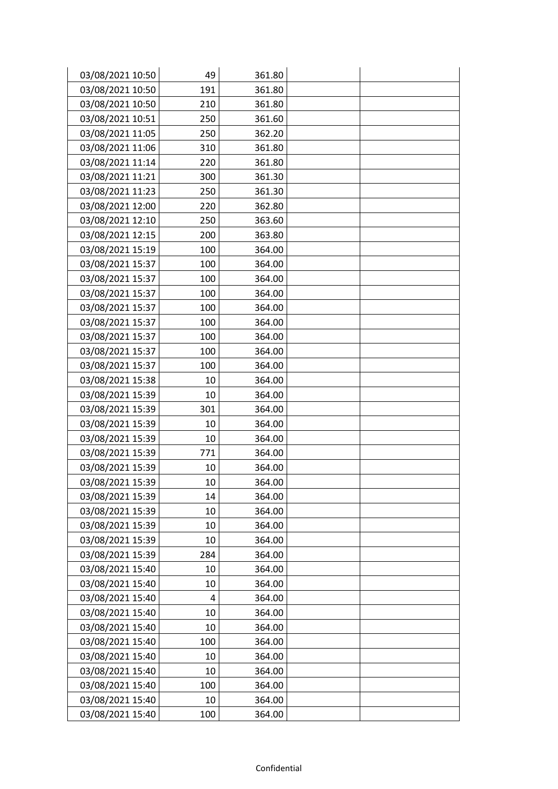| 03/08/2021 10:50 | 49  | 361.80 |  |
|------------------|-----|--------|--|
| 03/08/2021 10:50 | 191 | 361.80 |  |
| 03/08/2021 10:50 | 210 | 361.80 |  |
| 03/08/2021 10:51 | 250 | 361.60 |  |
| 03/08/2021 11:05 | 250 | 362.20 |  |
| 03/08/2021 11:06 | 310 | 361.80 |  |
| 03/08/2021 11:14 | 220 | 361.80 |  |
| 03/08/2021 11:21 | 300 | 361.30 |  |
| 03/08/2021 11:23 | 250 | 361.30 |  |
| 03/08/2021 12:00 | 220 | 362.80 |  |
| 03/08/2021 12:10 | 250 | 363.60 |  |
| 03/08/2021 12:15 | 200 | 363.80 |  |
| 03/08/2021 15:19 | 100 | 364.00 |  |
| 03/08/2021 15:37 | 100 | 364.00 |  |
| 03/08/2021 15:37 | 100 | 364.00 |  |
| 03/08/2021 15:37 | 100 | 364.00 |  |
| 03/08/2021 15:37 | 100 | 364.00 |  |
| 03/08/2021 15:37 | 100 | 364.00 |  |
| 03/08/2021 15:37 | 100 | 364.00 |  |
| 03/08/2021 15:37 | 100 | 364.00 |  |
| 03/08/2021 15:37 | 100 | 364.00 |  |
| 03/08/2021 15:38 | 10  | 364.00 |  |
| 03/08/2021 15:39 | 10  | 364.00 |  |
| 03/08/2021 15:39 | 301 | 364.00 |  |
| 03/08/2021 15:39 | 10  | 364.00 |  |
| 03/08/2021 15:39 | 10  | 364.00 |  |
| 03/08/2021 15:39 | 771 | 364.00 |  |
| 03/08/2021 15:39 | 10  | 364.00 |  |
| 03/08/2021 15:39 | 10  | 364.00 |  |
| 03/08/2021 15:39 | 14  | 364.00 |  |
| 03/08/2021 15:39 | 10  | 364.00 |  |
| 03/08/2021 15:39 | 10  | 364.00 |  |
| 03/08/2021 15:39 | 10  | 364.00 |  |
| 03/08/2021 15:39 | 284 | 364.00 |  |
| 03/08/2021 15:40 | 10  | 364.00 |  |
| 03/08/2021 15:40 | 10  | 364.00 |  |
| 03/08/2021 15:40 | 4   | 364.00 |  |
| 03/08/2021 15:40 | 10  | 364.00 |  |
| 03/08/2021 15:40 | 10  | 364.00 |  |
| 03/08/2021 15:40 | 100 | 364.00 |  |
| 03/08/2021 15:40 | 10  | 364.00 |  |
| 03/08/2021 15:40 | 10  | 364.00 |  |
| 03/08/2021 15:40 | 100 | 364.00 |  |
| 03/08/2021 15:40 | 10  | 364.00 |  |
| 03/08/2021 15:40 | 100 | 364.00 |  |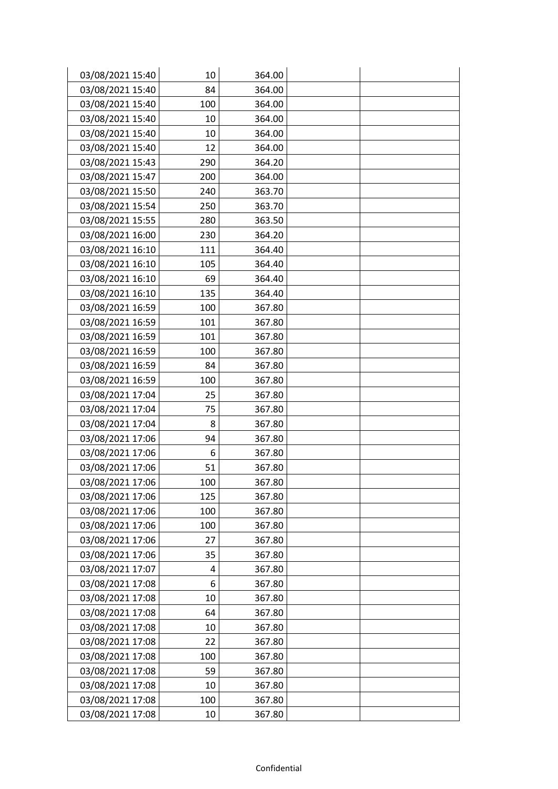| 03/08/2021 15:40 | 10  | 364.00 |  |
|------------------|-----|--------|--|
| 03/08/2021 15:40 | 84  | 364.00 |  |
| 03/08/2021 15:40 | 100 | 364.00 |  |
| 03/08/2021 15:40 | 10  | 364.00 |  |
| 03/08/2021 15:40 | 10  | 364.00 |  |
| 03/08/2021 15:40 | 12  | 364.00 |  |
| 03/08/2021 15:43 | 290 | 364.20 |  |
| 03/08/2021 15:47 | 200 | 364.00 |  |
| 03/08/2021 15:50 | 240 | 363.70 |  |
| 03/08/2021 15:54 | 250 | 363.70 |  |
| 03/08/2021 15:55 | 280 | 363.50 |  |
| 03/08/2021 16:00 | 230 | 364.20 |  |
| 03/08/2021 16:10 | 111 | 364.40 |  |
| 03/08/2021 16:10 | 105 | 364.40 |  |
| 03/08/2021 16:10 | 69  | 364.40 |  |
| 03/08/2021 16:10 | 135 | 364.40 |  |
| 03/08/2021 16:59 | 100 | 367.80 |  |
| 03/08/2021 16:59 | 101 | 367.80 |  |
| 03/08/2021 16:59 | 101 | 367.80 |  |
| 03/08/2021 16:59 | 100 | 367.80 |  |
| 03/08/2021 16:59 | 84  | 367.80 |  |
| 03/08/2021 16:59 | 100 | 367.80 |  |
| 03/08/2021 17:04 | 25  | 367.80 |  |
| 03/08/2021 17:04 | 75  | 367.80 |  |
| 03/08/2021 17:04 | 8   | 367.80 |  |
| 03/08/2021 17:06 | 94  | 367.80 |  |
| 03/08/2021 17:06 | 6   | 367.80 |  |
| 03/08/2021 17:06 | 51  | 367.80 |  |
| 03/08/2021 17:06 | 100 | 367.80 |  |
| 03/08/2021 17:06 | 125 | 367.80 |  |
| 03/08/2021 17:06 | 100 | 367.80 |  |
| 03/08/2021 17:06 | 100 | 367.80 |  |
| 03/08/2021 17:06 | 27  | 367.80 |  |
| 03/08/2021 17:06 | 35  | 367.80 |  |
| 03/08/2021 17:07 | 4   | 367.80 |  |
| 03/08/2021 17:08 | 6   | 367.80 |  |
| 03/08/2021 17:08 | 10  | 367.80 |  |
| 03/08/2021 17:08 | 64  | 367.80 |  |
| 03/08/2021 17:08 | 10  | 367.80 |  |
| 03/08/2021 17:08 | 22  | 367.80 |  |
| 03/08/2021 17:08 | 100 | 367.80 |  |
| 03/08/2021 17:08 | 59  | 367.80 |  |
| 03/08/2021 17:08 | 10  | 367.80 |  |
| 03/08/2021 17:08 | 100 | 367.80 |  |
| 03/08/2021 17:08 | 10  | 367.80 |  |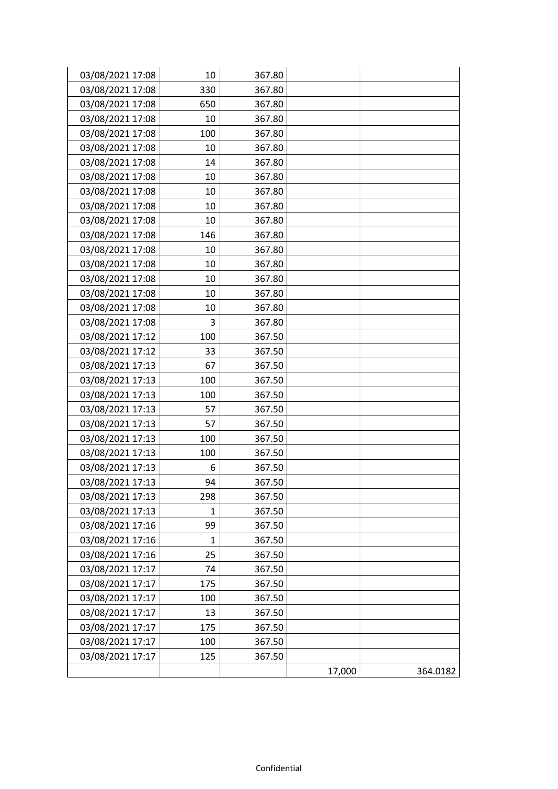| 03/08/2021 17:08 | 10  | 367.80 |        |          |
|------------------|-----|--------|--------|----------|
| 03/08/2021 17:08 | 330 | 367.80 |        |          |
| 03/08/2021 17:08 | 650 | 367.80 |        |          |
| 03/08/2021 17:08 | 10  | 367.80 |        |          |
| 03/08/2021 17:08 | 100 | 367.80 |        |          |
| 03/08/2021 17:08 | 10  | 367.80 |        |          |
| 03/08/2021 17:08 | 14  | 367.80 |        |          |
| 03/08/2021 17:08 | 10  | 367.80 |        |          |
| 03/08/2021 17:08 | 10  | 367.80 |        |          |
| 03/08/2021 17:08 | 10  | 367.80 |        |          |
| 03/08/2021 17:08 | 10  | 367.80 |        |          |
| 03/08/2021 17:08 | 146 | 367.80 |        |          |
| 03/08/2021 17:08 | 10  | 367.80 |        |          |
| 03/08/2021 17:08 | 10  | 367.80 |        |          |
| 03/08/2021 17:08 | 10  | 367.80 |        |          |
| 03/08/2021 17:08 | 10  | 367.80 |        |          |
| 03/08/2021 17:08 | 10  | 367.80 |        |          |
| 03/08/2021 17:08 | 3   | 367.80 |        |          |
| 03/08/2021 17:12 | 100 | 367.50 |        |          |
| 03/08/2021 17:12 | 33  | 367.50 |        |          |
| 03/08/2021 17:13 | 67  | 367.50 |        |          |
| 03/08/2021 17:13 | 100 | 367.50 |        |          |
| 03/08/2021 17:13 | 100 | 367.50 |        |          |
| 03/08/2021 17:13 | 57  | 367.50 |        |          |
| 03/08/2021 17:13 | 57  | 367.50 |        |          |
| 03/08/2021 17:13 | 100 | 367.50 |        |          |
| 03/08/2021 17:13 | 100 | 367.50 |        |          |
| 03/08/2021 17:13 | 6   | 367.50 |        |          |
| 03/08/2021 17:13 | 94  | 367.50 |        |          |
| 03/08/2021 17:13 | 298 | 367.50 |        |          |
| 03/08/2021 17:13 | 1   | 367.50 |        |          |
| 03/08/2021 17:16 | 99  | 367.50 |        |          |
| 03/08/2021 17:16 | 1   | 367.50 |        |          |
| 03/08/2021 17:16 | 25  | 367.50 |        |          |
| 03/08/2021 17:17 | 74  | 367.50 |        |          |
| 03/08/2021 17:17 | 175 | 367.50 |        |          |
| 03/08/2021 17:17 | 100 | 367.50 |        |          |
| 03/08/2021 17:17 | 13  | 367.50 |        |          |
| 03/08/2021 17:17 | 175 | 367.50 |        |          |
| 03/08/2021 17:17 | 100 | 367.50 |        |          |
| 03/08/2021 17:17 | 125 | 367.50 |        |          |
|                  |     |        | 17,000 | 364.0182 |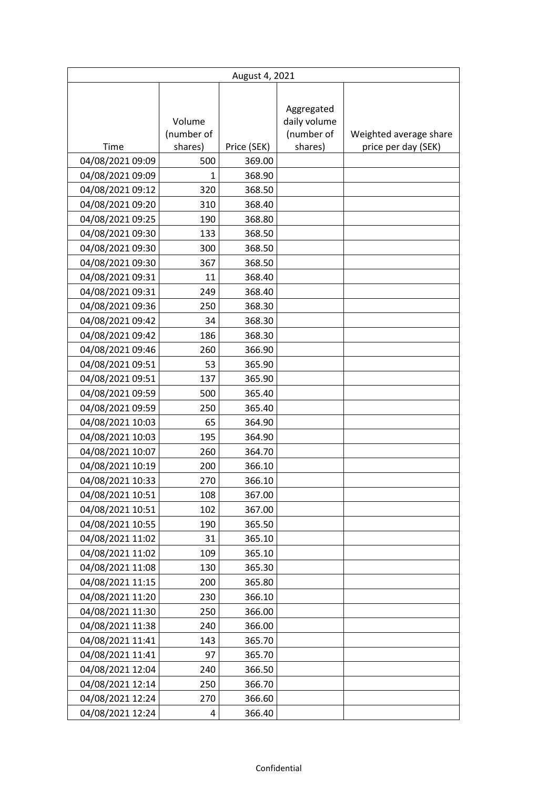|                  | August 4, 2021       |             |                                          |                        |  |
|------------------|----------------------|-------------|------------------------------------------|------------------------|--|
|                  | Volume<br>(number of |             | Aggregated<br>daily volume<br>(number of | Weighted average share |  |
| Time             | shares)              | Price (SEK) | shares)                                  | price per day (SEK)    |  |
| 04/08/2021 09:09 | 500                  | 369.00      |                                          |                        |  |
| 04/08/2021 09:09 | 1                    | 368.90      |                                          |                        |  |
| 04/08/2021 09:12 | 320                  | 368.50      |                                          |                        |  |
| 04/08/2021 09:20 | 310                  | 368.40      |                                          |                        |  |
| 04/08/2021 09:25 | 190                  | 368.80      |                                          |                        |  |
| 04/08/2021 09:30 | 133                  | 368.50      |                                          |                        |  |
| 04/08/2021 09:30 | 300                  | 368.50      |                                          |                        |  |
| 04/08/2021 09:30 | 367                  | 368.50      |                                          |                        |  |
| 04/08/2021 09:31 | 11                   | 368.40      |                                          |                        |  |
| 04/08/2021 09:31 | 249                  | 368.40      |                                          |                        |  |
| 04/08/2021 09:36 | 250                  | 368.30      |                                          |                        |  |
| 04/08/2021 09:42 | 34                   | 368.30      |                                          |                        |  |
| 04/08/2021 09:42 | 186                  | 368.30      |                                          |                        |  |
| 04/08/2021 09:46 | 260                  | 366.90      |                                          |                        |  |
| 04/08/2021 09:51 | 53                   | 365.90      |                                          |                        |  |
| 04/08/2021 09:51 | 137                  | 365.90      |                                          |                        |  |
| 04/08/2021 09:59 | 500                  | 365.40      |                                          |                        |  |
| 04/08/2021 09:59 | 250                  | 365.40      |                                          |                        |  |
| 04/08/2021 10:03 | 65                   | 364.90      |                                          |                        |  |
| 04/08/2021 10:03 | 195                  | 364.90      |                                          |                        |  |
| 04/08/2021 10:07 | 260                  | 364.70      |                                          |                        |  |
| 04/08/2021 10:19 | 200                  | 366.10      |                                          |                        |  |
| 04/08/2021 10:33 | 270                  | 366.10      |                                          |                        |  |
| 04/08/2021 10:51 | 108                  | 367.00      |                                          |                        |  |
| 04/08/2021 10:51 | 102                  | 367.00      |                                          |                        |  |
| 04/08/2021 10:55 | 190                  | 365.50      |                                          |                        |  |
| 04/08/2021 11:02 | 31                   | 365.10      |                                          |                        |  |
| 04/08/2021 11:02 | 109                  | 365.10      |                                          |                        |  |
| 04/08/2021 11:08 | 130                  | 365.30      |                                          |                        |  |
| 04/08/2021 11:15 | 200                  | 365.80      |                                          |                        |  |
| 04/08/2021 11:20 | 230                  | 366.10      |                                          |                        |  |
| 04/08/2021 11:30 | 250                  | 366.00      |                                          |                        |  |
| 04/08/2021 11:38 | 240                  | 366.00      |                                          |                        |  |
| 04/08/2021 11:41 | 143                  | 365.70      |                                          |                        |  |
| 04/08/2021 11:41 | 97                   | 365.70      |                                          |                        |  |
| 04/08/2021 12:04 | 240                  | 366.50      |                                          |                        |  |
| 04/08/2021 12:14 | 250                  | 366.70      |                                          |                        |  |
| 04/08/2021 12:24 | 270                  | 366.60      |                                          |                        |  |
| 04/08/2021 12:24 | 4                    | 366.40      |                                          |                        |  |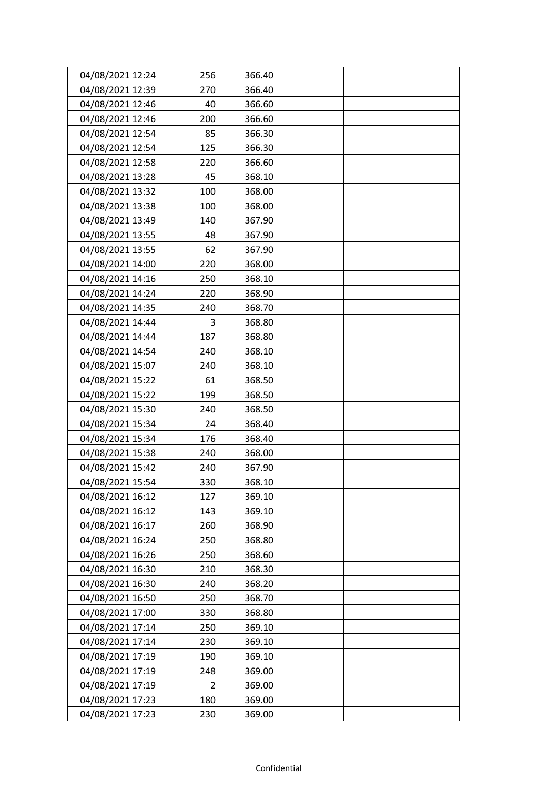| 04/08/2021 12:24 | 256            | 366.40 |  |
|------------------|----------------|--------|--|
| 04/08/2021 12:39 | 270            | 366.40 |  |
| 04/08/2021 12:46 | 40             | 366.60 |  |
| 04/08/2021 12:46 | 200            | 366.60 |  |
| 04/08/2021 12:54 | 85             | 366.30 |  |
| 04/08/2021 12:54 | 125            | 366.30 |  |
| 04/08/2021 12:58 | 220            | 366.60 |  |
| 04/08/2021 13:28 | 45             | 368.10 |  |
| 04/08/2021 13:32 | 100            | 368.00 |  |
| 04/08/2021 13:38 | 100            | 368.00 |  |
| 04/08/2021 13:49 | 140            | 367.90 |  |
| 04/08/2021 13:55 | 48             | 367.90 |  |
| 04/08/2021 13:55 | 62             | 367.90 |  |
| 04/08/2021 14:00 | 220            | 368.00 |  |
| 04/08/2021 14:16 | 250            | 368.10 |  |
| 04/08/2021 14:24 | 220            | 368.90 |  |
| 04/08/2021 14:35 | 240            | 368.70 |  |
| 04/08/2021 14:44 | 3              | 368.80 |  |
| 04/08/2021 14:44 | 187            | 368.80 |  |
| 04/08/2021 14:54 | 240            | 368.10 |  |
| 04/08/2021 15:07 | 240            | 368.10 |  |
| 04/08/2021 15:22 | 61             | 368.50 |  |
| 04/08/2021 15:22 | 199            | 368.50 |  |
| 04/08/2021 15:30 | 240            | 368.50 |  |
| 04/08/2021 15:34 | 24             | 368.40 |  |
| 04/08/2021 15:34 | 176            | 368.40 |  |
| 04/08/2021 15:38 | 240            | 368.00 |  |
| 04/08/2021 15:42 | 240            | 367.90 |  |
| 04/08/2021 15:54 | 330            | 368.10 |  |
| 04/08/2021 16:12 | 127            | 369.10 |  |
| 04/08/2021 16:12 | 143            | 369.10 |  |
| 04/08/2021 16:17 | 260            | 368.90 |  |
| 04/08/2021 16:24 | 250            | 368.80 |  |
| 04/08/2021 16:26 | 250            | 368.60 |  |
| 04/08/2021 16:30 | 210            | 368.30 |  |
| 04/08/2021 16:30 | 240            | 368.20 |  |
| 04/08/2021 16:50 | 250            | 368.70 |  |
| 04/08/2021 17:00 | 330            | 368.80 |  |
| 04/08/2021 17:14 | 250            | 369.10 |  |
| 04/08/2021 17:14 | 230            | 369.10 |  |
| 04/08/2021 17:19 | 190            | 369.10 |  |
| 04/08/2021 17:19 | 248            | 369.00 |  |
| 04/08/2021 17:19 | $\overline{2}$ | 369.00 |  |
| 04/08/2021 17:23 | 180            | 369.00 |  |
| 04/08/2021 17:23 | 230            | 369.00 |  |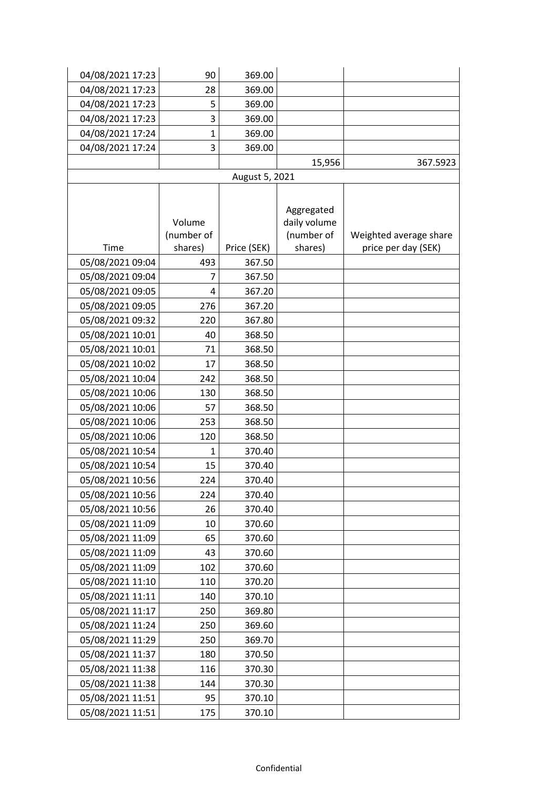| 04/08/2021 17:23 | 90           | 369.00         |              |                        |
|------------------|--------------|----------------|--------------|------------------------|
| 04/08/2021 17:23 | 28           | 369.00         |              |                        |
| 04/08/2021 17:23 | 5            | 369.00         |              |                        |
| 04/08/2021 17:23 | 3            | 369.00         |              |                        |
| 04/08/2021 17:24 | $\mathbf{1}$ | 369.00         |              |                        |
| 04/08/2021 17:24 | 3            | 369.00         |              |                        |
|                  |              |                | 15,956       | 367.5923               |
|                  |              | August 5, 2021 |              |                        |
|                  |              |                |              |                        |
|                  |              |                | Aggregated   |                        |
|                  | Volume       |                | daily volume |                        |
|                  | (number of   |                | (number of   | Weighted average share |
| Time             | shares)      | Price (SEK)    | shares)      | price per day (SEK)    |
| 05/08/2021 09:04 | 493          | 367.50         |              |                        |
| 05/08/2021 09:04 | 7            | 367.50         |              |                        |
| 05/08/2021 09:05 | 4            | 367.20         |              |                        |
| 05/08/2021 09:05 | 276          | 367.20         |              |                        |
| 05/08/2021 09:32 | 220          | 367.80         |              |                        |
| 05/08/2021 10:01 | 40           | 368.50         |              |                        |
| 05/08/2021 10:01 | 71           | 368.50         |              |                        |
| 05/08/2021 10:02 | 17           | 368.50         |              |                        |
| 05/08/2021 10:04 | 242          | 368.50         |              |                        |
| 05/08/2021 10:06 | 130          | 368.50         |              |                        |
| 05/08/2021 10:06 | 57           | 368.50         |              |                        |
| 05/08/2021 10:06 | 253          | 368.50         |              |                        |
| 05/08/2021 10:06 | 120          | 368.50         |              |                        |
| 05/08/2021 10:54 | $\mathbf{1}$ | 370.40         |              |                        |
| 05/08/2021 10:54 | 15           | 370.40         |              |                        |
| 05/08/2021 10:56 | 224          | 370.40         |              |                        |
| 05/08/2021 10:56 | 224          | 370.40         |              |                        |
| 05/08/2021 10:56 | 26           | 370.40         |              |                        |
| 05/08/2021 11:09 | 10           | 370.60         |              |                        |
| 05/08/2021 11:09 | 65           | 370.60         |              |                        |
| 05/08/2021 11:09 | 43           | 370.60         |              |                        |
| 05/08/2021 11:09 | 102          | 370.60         |              |                        |
| 05/08/2021 11:10 | 110          | 370.20         |              |                        |
| 05/08/2021 11:11 | 140          | 370.10         |              |                        |
| 05/08/2021 11:17 | 250          | 369.80         |              |                        |
| 05/08/2021 11:24 | 250          | 369.60         |              |                        |
| 05/08/2021 11:29 | 250          | 369.70         |              |                        |
| 05/08/2021 11:37 | 180          | 370.50         |              |                        |
| 05/08/2021 11:38 | 116          | 370.30         |              |                        |
| 05/08/2021 11:38 | 144          | 370.30         |              |                        |
| 05/08/2021 11:51 | 95           | 370.10         |              |                        |
| 05/08/2021 11:51 | 175          | 370.10         |              |                        |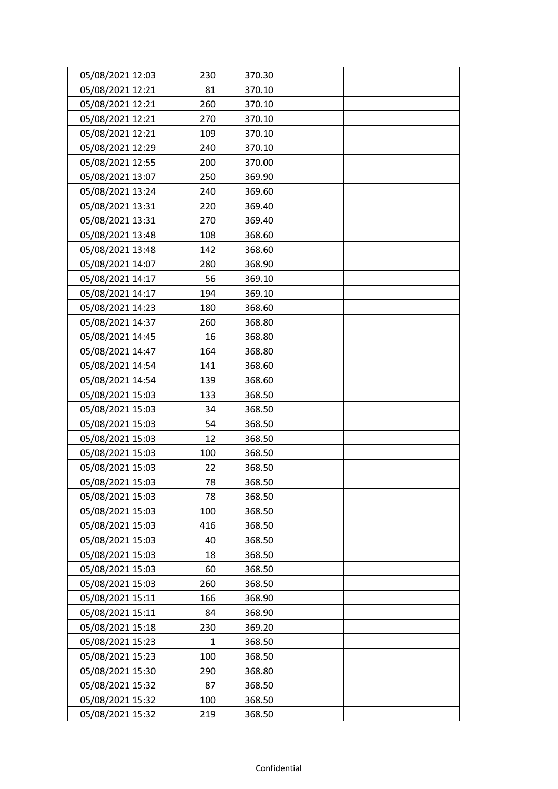| 05/08/2021 12:03 | 230 | 370.30 |  |
|------------------|-----|--------|--|
| 05/08/2021 12:21 | 81  | 370.10 |  |
| 05/08/2021 12:21 | 260 | 370.10 |  |
| 05/08/2021 12:21 | 270 | 370.10 |  |
| 05/08/2021 12:21 | 109 | 370.10 |  |
| 05/08/2021 12:29 | 240 | 370.10 |  |
| 05/08/2021 12:55 | 200 | 370.00 |  |
| 05/08/2021 13:07 | 250 | 369.90 |  |
| 05/08/2021 13:24 | 240 | 369.60 |  |
| 05/08/2021 13:31 | 220 | 369.40 |  |
| 05/08/2021 13:31 | 270 | 369.40 |  |
| 05/08/2021 13:48 | 108 | 368.60 |  |
| 05/08/2021 13:48 | 142 | 368.60 |  |
| 05/08/2021 14:07 | 280 | 368.90 |  |
| 05/08/2021 14:17 | 56  | 369.10 |  |
| 05/08/2021 14:17 | 194 | 369.10 |  |
| 05/08/2021 14:23 | 180 | 368.60 |  |
| 05/08/2021 14:37 | 260 | 368.80 |  |
| 05/08/2021 14:45 | 16  | 368.80 |  |
| 05/08/2021 14:47 | 164 | 368.80 |  |
| 05/08/2021 14:54 | 141 | 368.60 |  |
| 05/08/2021 14:54 | 139 | 368.60 |  |
| 05/08/2021 15:03 | 133 | 368.50 |  |
| 05/08/2021 15:03 | 34  | 368.50 |  |
| 05/08/2021 15:03 | 54  | 368.50 |  |
| 05/08/2021 15:03 | 12  | 368.50 |  |
| 05/08/2021 15:03 | 100 | 368.50 |  |
| 05/08/2021 15:03 | 22  | 368.50 |  |
| 05/08/2021 15:03 | 78  | 368.50 |  |
| 05/08/2021 15:03 | 78  | 368.50 |  |
| 05/08/2021 15:03 | 100 | 368.50 |  |
| 05/08/2021 15:03 | 416 | 368.50 |  |
| 05/08/2021 15:03 | 40  | 368.50 |  |
| 05/08/2021 15:03 | 18  | 368.50 |  |
| 05/08/2021 15:03 | 60  | 368.50 |  |
| 05/08/2021 15:03 | 260 | 368.50 |  |
| 05/08/2021 15:11 | 166 | 368.90 |  |
| 05/08/2021 15:11 | 84  | 368.90 |  |
| 05/08/2021 15:18 | 230 | 369.20 |  |
| 05/08/2021 15:23 | 1   | 368.50 |  |
| 05/08/2021 15:23 | 100 | 368.50 |  |
| 05/08/2021 15:30 | 290 | 368.80 |  |
| 05/08/2021 15:32 | 87  | 368.50 |  |
| 05/08/2021 15:32 | 100 | 368.50 |  |
| 05/08/2021 15:32 | 219 | 368.50 |  |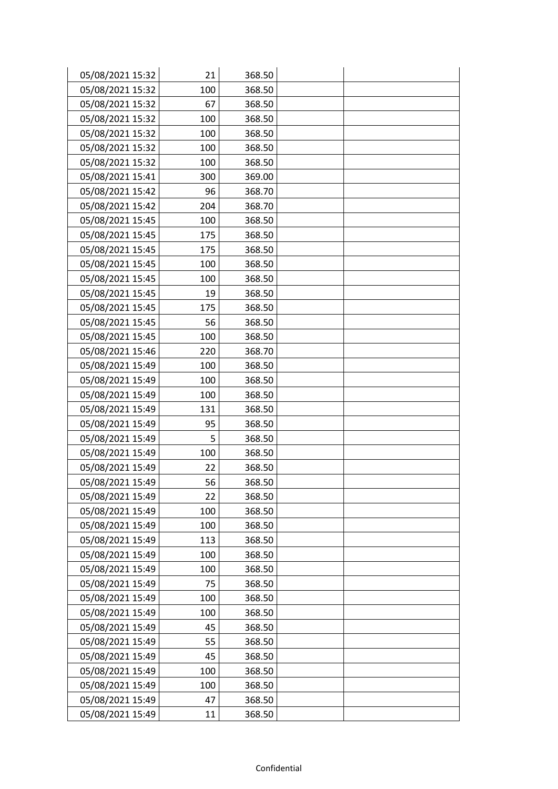| 05/08/2021 15:32 | 21  | 368.50 |  |
|------------------|-----|--------|--|
| 05/08/2021 15:32 | 100 | 368.50 |  |
| 05/08/2021 15:32 | 67  | 368.50 |  |
| 05/08/2021 15:32 | 100 | 368.50 |  |
| 05/08/2021 15:32 | 100 | 368.50 |  |
| 05/08/2021 15:32 | 100 | 368.50 |  |
| 05/08/2021 15:32 | 100 | 368.50 |  |
| 05/08/2021 15:41 | 300 | 369.00 |  |
| 05/08/2021 15:42 | 96  | 368.70 |  |
| 05/08/2021 15:42 | 204 | 368.70 |  |
| 05/08/2021 15:45 | 100 | 368.50 |  |
| 05/08/2021 15:45 | 175 | 368.50 |  |
| 05/08/2021 15:45 | 175 | 368.50 |  |
| 05/08/2021 15:45 | 100 | 368.50 |  |
| 05/08/2021 15:45 | 100 | 368.50 |  |
| 05/08/2021 15:45 | 19  | 368.50 |  |
| 05/08/2021 15:45 | 175 | 368.50 |  |
| 05/08/2021 15:45 | 56  | 368.50 |  |
| 05/08/2021 15:45 | 100 | 368.50 |  |
| 05/08/2021 15:46 | 220 | 368.70 |  |
| 05/08/2021 15:49 | 100 | 368.50 |  |
| 05/08/2021 15:49 | 100 | 368.50 |  |
| 05/08/2021 15:49 | 100 | 368.50 |  |
| 05/08/2021 15:49 | 131 | 368.50 |  |
| 05/08/2021 15:49 | 95  | 368.50 |  |
| 05/08/2021 15:49 | 5   | 368.50 |  |
| 05/08/2021 15:49 | 100 | 368.50 |  |
| 05/08/2021 15:49 | 22  | 368.50 |  |
| 05/08/2021 15:49 | 56  | 368.50 |  |
| 05/08/2021 15:49 | 22  | 368.50 |  |
| 05/08/2021 15:49 | 100 | 368.50 |  |
| 05/08/2021 15:49 | 100 | 368.50 |  |
| 05/08/2021 15:49 | 113 | 368.50 |  |
| 05/08/2021 15:49 | 100 | 368.50 |  |
| 05/08/2021 15:49 | 100 | 368.50 |  |
| 05/08/2021 15:49 | 75  | 368.50 |  |
| 05/08/2021 15:49 | 100 | 368.50 |  |
| 05/08/2021 15:49 | 100 | 368.50 |  |
| 05/08/2021 15:49 | 45  | 368.50 |  |
| 05/08/2021 15:49 | 55  | 368.50 |  |
| 05/08/2021 15:49 | 45  | 368.50 |  |
| 05/08/2021 15:49 | 100 | 368.50 |  |
| 05/08/2021 15:49 | 100 | 368.50 |  |
| 05/08/2021 15:49 | 47  | 368.50 |  |
| 05/08/2021 15:49 | 11  | 368.50 |  |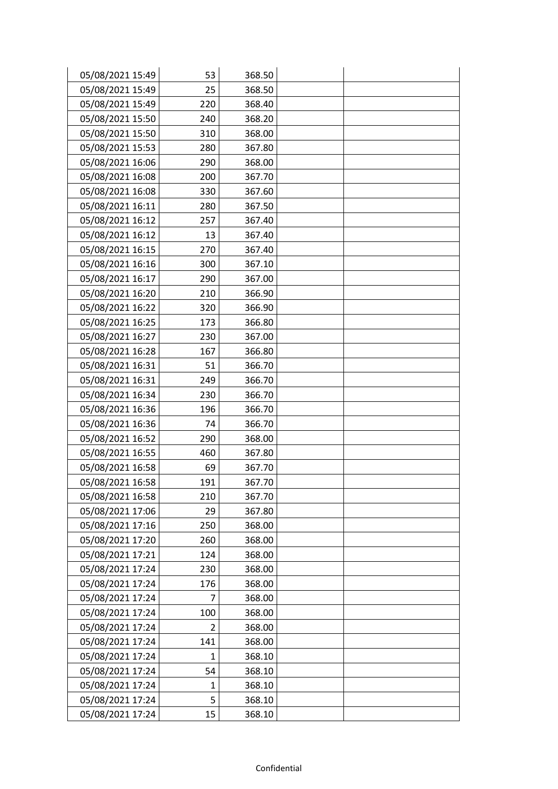| 05/08/2021 15:49 | 53           | 368.50 |  |
|------------------|--------------|--------|--|
| 05/08/2021 15:49 | 25           | 368.50 |  |
| 05/08/2021 15:49 | 220          | 368.40 |  |
| 05/08/2021 15:50 | 240          | 368.20 |  |
| 05/08/2021 15:50 | 310          | 368.00 |  |
| 05/08/2021 15:53 | 280          | 367.80 |  |
| 05/08/2021 16:06 | 290          | 368.00 |  |
| 05/08/2021 16:08 | 200          | 367.70 |  |
| 05/08/2021 16:08 | 330          | 367.60 |  |
| 05/08/2021 16:11 | 280          | 367.50 |  |
| 05/08/2021 16:12 | 257          | 367.40 |  |
| 05/08/2021 16:12 | 13           | 367.40 |  |
| 05/08/2021 16:15 | 270          | 367.40 |  |
| 05/08/2021 16:16 | 300          | 367.10 |  |
| 05/08/2021 16:17 | 290          | 367.00 |  |
| 05/08/2021 16:20 | 210          | 366.90 |  |
| 05/08/2021 16:22 | 320          | 366.90 |  |
| 05/08/2021 16:25 | 173          | 366.80 |  |
| 05/08/2021 16:27 | 230          | 367.00 |  |
| 05/08/2021 16:28 | 167          | 366.80 |  |
| 05/08/2021 16:31 | 51           | 366.70 |  |
| 05/08/2021 16:31 | 249          | 366.70 |  |
| 05/08/2021 16:34 | 230          | 366.70 |  |
| 05/08/2021 16:36 | 196          | 366.70 |  |
| 05/08/2021 16:36 | 74           | 366.70 |  |
| 05/08/2021 16:52 | 290          | 368.00 |  |
| 05/08/2021 16:55 | 460          | 367.80 |  |
| 05/08/2021 16:58 | 69           | 367.70 |  |
| 05/08/2021 16:58 | 191          | 367.70 |  |
| 05/08/2021 16:58 | 210          | 367.70 |  |
| 05/08/2021 17:06 | 29           | 367.80 |  |
| 05/08/2021 17:16 | 250          | 368.00 |  |
| 05/08/2021 17:20 | 260          | 368.00 |  |
| 05/08/2021 17:21 | 124          | 368.00 |  |
| 05/08/2021 17:24 | 230          | 368.00 |  |
| 05/08/2021 17:24 | 176          | 368.00 |  |
| 05/08/2021 17:24 | 7            | 368.00 |  |
| 05/08/2021 17:24 | 100          | 368.00 |  |
| 05/08/2021 17:24 | 2            | 368.00 |  |
| 05/08/2021 17:24 | 141          | 368.00 |  |
| 05/08/2021 17:24 | $\mathbf{1}$ | 368.10 |  |
| 05/08/2021 17:24 | 54           | 368.10 |  |
| 05/08/2021 17:24 | $\mathbf{1}$ | 368.10 |  |
| 05/08/2021 17:24 | 5            | 368.10 |  |
| 05/08/2021 17:24 | 15           | 368.10 |  |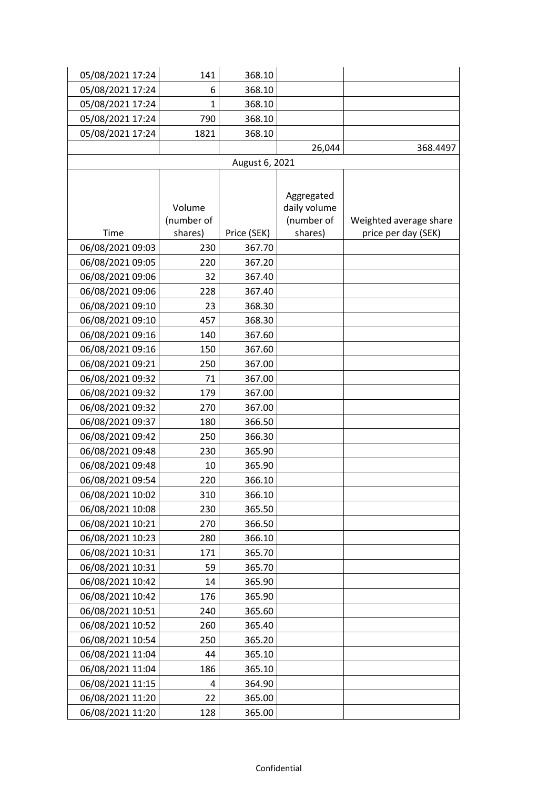| 05/08/2021 17:24 | 141          | 368.10         |              |                        |
|------------------|--------------|----------------|--------------|------------------------|
| 05/08/2021 17:24 | 6            | 368.10         |              |                        |
| 05/08/2021 17:24 | $\mathbf{1}$ | 368.10         |              |                        |
| 05/08/2021 17:24 | 790          | 368.10         |              |                        |
| 05/08/2021 17:24 | 1821         | 368.10         |              |                        |
|                  |              |                | 26,044       | 368.4497               |
|                  |              | August 6, 2021 |              |                        |
|                  |              |                |              |                        |
|                  |              |                | Aggregated   |                        |
|                  | Volume       |                | daily volume |                        |
|                  | (number of   |                | (number of   | Weighted average share |
| Time             | shares)      | Price (SEK)    | shares)      | price per day (SEK)    |
| 06/08/2021 09:03 | 230          | 367.70         |              |                        |
| 06/08/2021 09:05 | 220          | 367.20         |              |                        |
| 06/08/2021 09:06 | 32           | 367.40         |              |                        |
| 06/08/2021 09:06 | 228          | 367.40         |              |                        |
| 06/08/2021 09:10 | 23           | 368.30         |              |                        |
| 06/08/2021 09:10 | 457          | 368.30         |              |                        |
| 06/08/2021 09:16 | 140          | 367.60         |              |                        |
| 06/08/2021 09:16 | 150          | 367.60         |              |                        |
| 06/08/2021 09:21 | 250          | 367.00         |              |                        |
| 06/08/2021 09:32 | 71           | 367.00         |              |                        |
| 06/08/2021 09:32 | 179          | 367.00         |              |                        |
| 06/08/2021 09:32 | 270          | 367.00         |              |                        |
| 06/08/2021 09:37 | 180          | 366.50         |              |                        |
| 06/08/2021 09:42 | 250          | 366.30         |              |                        |
| 06/08/2021 09:48 | 230          | 365.90         |              |                        |
| 06/08/2021 09:48 | 10           | 365.90         |              |                        |
| 06/08/2021 09:54 | 220          | 366.10         |              |                        |
| 06/08/2021 10:02 | 310          | 366.10         |              |                        |
| 06/08/2021 10:08 | 230          | 365.50         |              |                        |
| 06/08/2021 10:21 | 270          | 366.50         |              |                        |
| 06/08/2021 10:23 | 280          | 366.10         |              |                        |
| 06/08/2021 10:31 | 171          | 365.70         |              |                        |
| 06/08/2021 10:31 | 59           | 365.70         |              |                        |
| 06/08/2021 10:42 | 14           | 365.90         |              |                        |
| 06/08/2021 10:42 | 176          | 365.90         |              |                        |
| 06/08/2021 10:51 | 240          | 365.60         |              |                        |
| 06/08/2021 10:52 | 260          | 365.40         |              |                        |
| 06/08/2021 10:54 | 250          | 365.20         |              |                        |
| 06/08/2021 11:04 | 44           | 365.10         |              |                        |
| 06/08/2021 11:04 | 186          | 365.10         |              |                        |
| 06/08/2021 11:15 | 4            | 364.90         |              |                        |
| 06/08/2021 11:20 | 22           | 365.00         |              |                        |
| 06/08/2021 11:20 | 128          | 365.00         |              |                        |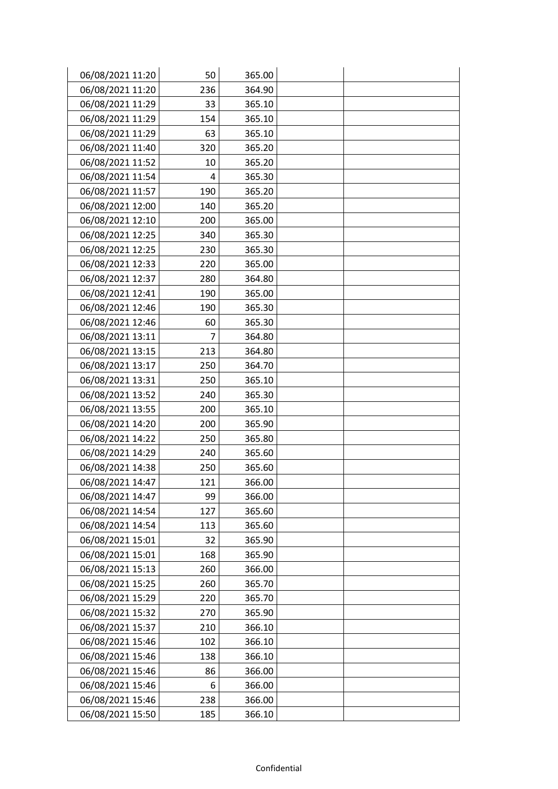| 06/08/2021 11:20 | 50  | 365.00 |  |
|------------------|-----|--------|--|
| 06/08/2021 11:20 | 236 | 364.90 |  |
| 06/08/2021 11:29 | 33  | 365.10 |  |
| 06/08/2021 11:29 | 154 | 365.10 |  |
| 06/08/2021 11:29 | 63  | 365.10 |  |
| 06/08/2021 11:40 | 320 | 365.20 |  |
| 06/08/2021 11:52 | 10  | 365.20 |  |
| 06/08/2021 11:54 | 4   | 365.30 |  |
| 06/08/2021 11:57 | 190 | 365.20 |  |
| 06/08/2021 12:00 | 140 | 365.20 |  |
| 06/08/2021 12:10 | 200 | 365.00 |  |
| 06/08/2021 12:25 | 340 | 365.30 |  |
| 06/08/2021 12:25 | 230 | 365.30 |  |
| 06/08/2021 12:33 | 220 | 365.00 |  |
| 06/08/2021 12:37 | 280 | 364.80 |  |
| 06/08/2021 12:41 | 190 | 365.00 |  |
| 06/08/2021 12:46 | 190 | 365.30 |  |
| 06/08/2021 12:46 | 60  | 365.30 |  |
| 06/08/2021 13:11 | 7   | 364.80 |  |
| 06/08/2021 13:15 | 213 | 364.80 |  |
| 06/08/2021 13:17 | 250 | 364.70 |  |
| 06/08/2021 13:31 | 250 | 365.10 |  |
| 06/08/2021 13:52 | 240 | 365.30 |  |
| 06/08/2021 13:55 | 200 | 365.10 |  |
| 06/08/2021 14:20 | 200 | 365.90 |  |
| 06/08/2021 14:22 | 250 | 365.80 |  |
| 06/08/2021 14:29 | 240 | 365.60 |  |
| 06/08/2021 14:38 | 250 | 365.60 |  |
| 06/08/2021 14:47 | 121 | 366.00 |  |
| 06/08/2021 14:47 | 99  | 366.00 |  |
| 06/08/2021 14:54 | 127 | 365.60 |  |
| 06/08/2021 14:54 | 113 | 365.60 |  |
| 06/08/2021 15:01 | 32  | 365.90 |  |
| 06/08/2021 15:01 | 168 | 365.90 |  |
| 06/08/2021 15:13 | 260 | 366.00 |  |
| 06/08/2021 15:25 | 260 | 365.70 |  |
| 06/08/2021 15:29 | 220 | 365.70 |  |
| 06/08/2021 15:32 | 270 | 365.90 |  |
| 06/08/2021 15:37 | 210 | 366.10 |  |
| 06/08/2021 15:46 | 102 | 366.10 |  |
| 06/08/2021 15:46 | 138 | 366.10 |  |
| 06/08/2021 15:46 | 86  | 366.00 |  |
| 06/08/2021 15:46 | 6   | 366.00 |  |
| 06/08/2021 15:46 | 238 | 366.00 |  |
| 06/08/2021 15:50 | 185 | 366.10 |  |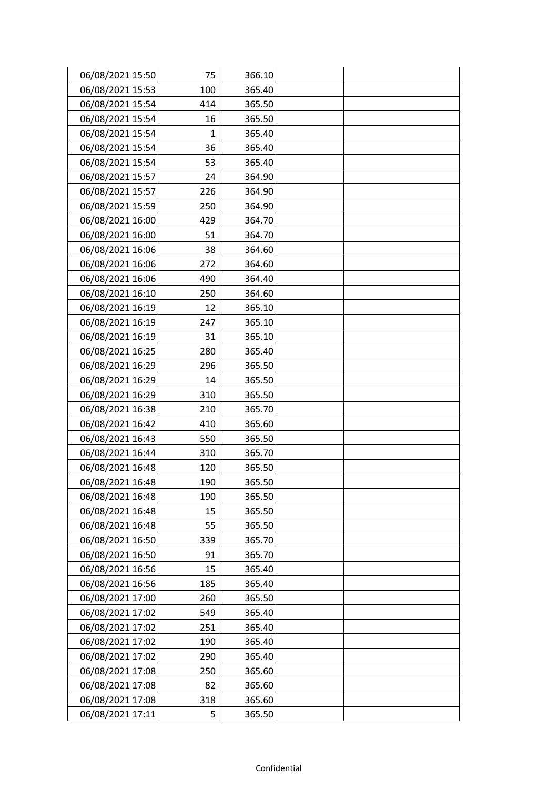| 06/08/2021 15:50 | 75           | 366.10 |  |
|------------------|--------------|--------|--|
| 06/08/2021 15:53 | 100          | 365.40 |  |
| 06/08/2021 15:54 | 414          | 365.50 |  |
| 06/08/2021 15:54 | 16           | 365.50 |  |
| 06/08/2021 15:54 | $\mathbf{1}$ | 365.40 |  |
| 06/08/2021 15:54 | 36           | 365.40 |  |
| 06/08/2021 15:54 | 53           | 365.40 |  |
| 06/08/2021 15:57 | 24           | 364.90 |  |
| 06/08/2021 15:57 | 226          | 364.90 |  |
| 06/08/2021 15:59 | 250          | 364.90 |  |
| 06/08/2021 16:00 | 429          | 364.70 |  |
| 06/08/2021 16:00 | 51           | 364.70 |  |
| 06/08/2021 16:06 | 38           | 364.60 |  |
| 06/08/2021 16:06 | 272          | 364.60 |  |
| 06/08/2021 16:06 | 490          | 364.40 |  |
| 06/08/2021 16:10 | 250          | 364.60 |  |
| 06/08/2021 16:19 | 12           | 365.10 |  |
| 06/08/2021 16:19 | 247          | 365.10 |  |
| 06/08/2021 16:19 | 31           | 365.10 |  |
| 06/08/2021 16:25 | 280          | 365.40 |  |
| 06/08/2021 16:29 | 296          | 365.50 |  |
| 06/08/2021 16:29 | 14           | 365.50 |  |
| 06/08/2021 16:29 | 310          | 365.50 |  |
| 06/08/2021 16:38 | 210          | 365.70 |  |
| 06/08/2021 16:42 | 410          | 365.60 |  |
| 06/08/2021 16:43 | 550          | 365.50 |  |
| 06/08/2021 16:44 | 310          | 365.70 |  |
| 06/08/2021 16:48 | 120          | 365.50 |  |
| 06/08/2021 16:48 | 190          | 365.50 |  |
| 06/08/2021 16:48 | 190          | 365.50 |  |
| 06/08/2021 16:48 | 15           | 365.50 |  |
| 06/08/2021 16:48 | 55           | 365.50 |  |
| 06/08/2021 16:50 | 339          | 365.70 |  |
| 06/08/2021 16:50 | 91           | 365.70 |  |
| 06/08/2021 16:56 | 15           | 365.40 |  |
| 06/08/2021 16:56 | 185          | 365.40 |  |
| 06/08/2021 17:00 | 260          | 365.50 |  |
| 06/08/2021 17:02 | 549          | 365.40 |  |
| 06/08/2021 17:02 | 251          | 365.40 |  |
| 06/08/2021 17:02 | 190          | 365.40 |  |
| 06/08/2021 17:02 | 290          | 365.40 |  |
| 06/08/2021 17:08 | 250          | 365.60 |  |
| 06/08/2021 17:08 | 82           | 365.60 |  |
| 06/08/2021 17:08 | 318          | 365.60 |  |
| 06/08/2021 17:11 | 5            | 365.50 |  |